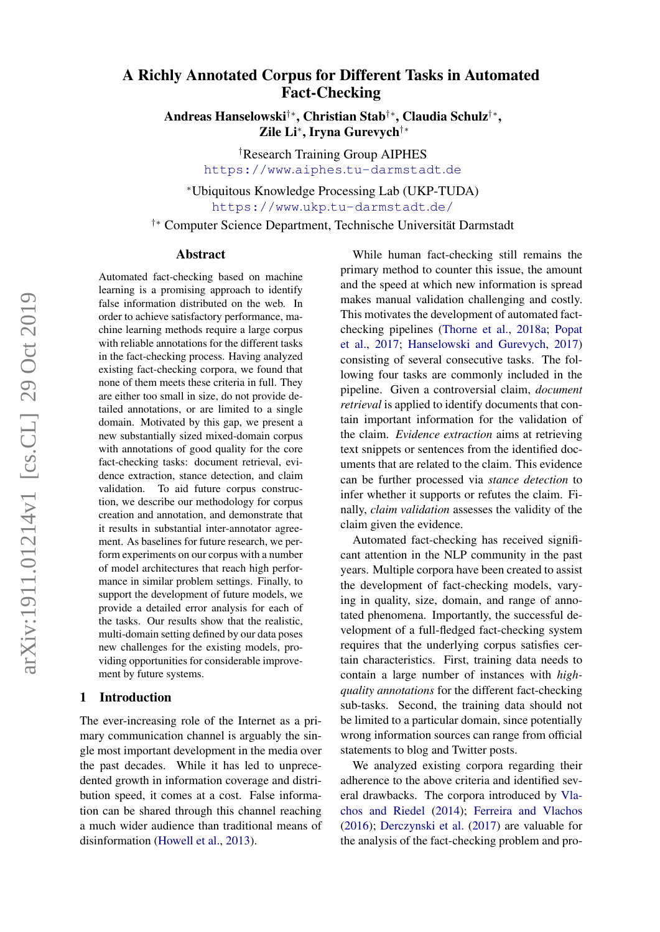# A Richly Annotated Corpus for Different Tasks in Automated Fact-Checking

Andreas Hanselowski†∗, Christian Stab†∗, Claudia Schulz†∗ , Zile Li<sup>∗</sup> , Iryna Gurevych†∗

> †Research Training Group AIPHES https://www.aiphes.[tu-darmstadt](https://www.aiphes.tu-darmstadt.de).de

<sup>∗</sup>Ubiquitous Knowledge Processing Lab (UKP-TUDA) https://www.ukp.[tu-darmstadt](https://www.ukp.tu-darmstadt.de/).de/

†∗ Computer Science Department, Technische Universitat Darmstadt ¨

#### Abstract

Automated fact-checking based on machine learning is a promising approach to identify false information distributed on the web. In order to achieve satisfactory performance, machine learning methods require a large corpus with reliable annotations for the different tasks in the fact-checking process. Having analyzed existing fact-checking corpora, we found that none of them meets these criteria in full. They are either too small in size, do not provide detailed annotations, or are limited to a single domain. Motivated by this gap, we present a new substantially sized mixed-domain corpus with annotations of good quality for the core fact-checking tasks: document retrieval, evidence extraction, stance detection, and claim validation. To aid future corpus construction, we describe our methodology for corpus creation and annotation, and demonstrate that it results in substantial inter-annotator agreement. As baselines for future research, we perform experiments on our corpus with a number of model architectures that reach high performance in similar problem settings. Finally, to support the development of future models, we provide a detailed error analysis for each of the tasks. Our results show that the realistic, multi-domain setting defined by our data poses new challenges for the existing models, providing opportunities for considerable improvement by future systems.

## 1 Introduction

The ever-increasing role of the Internet as a primary communication channel is arguably the single most important development in the media over the past decades. While it has led to unprecedented growth in information coverage and distribution speed, it comes at a cost. False information can be shared through this channel reaching a much wider audience than traditional means of disinformation [\(Howell et al.,](#page-9-0) [2013\)](#page-9-0).

While human fact-checking still remains the primary method to counter this issue, the amount and the speed at which new information is spread makes manual validation challenging and costly. This motivates the development of automated factchecking pipelines [\(Thorne et al.,](#page-10-0) [2018a;](#page-10-0) [Popat](#page-9-1) [et al.,](#page-9-1) [2017;](#page-9-1) [Hanselowski and Gurevych,](#page-9-2) [2017\)](#page-9-2) consisting of several consecutive tasks. The following four tasks are commonly included in the pipeline. Given a controversial claim, *document retrieval* is applied to identify documents that contain important information for the validation of the claim. *Evidence extraction* aims at retrieving text snippets or sentences from the identified documents that are related to the claim. This evidence can be further processed via *stance detection* to infer whether it supports or refutes the claim. Finally, *claim validation* assesses the validity of the claim given the evidence.

Automated fact-checking has received significant attention in the NLP community in the past years. Multiple corpora have been created to assist the development of fact-checking models, varying in quality, size, domain, and range of annotated phenomena. Importantly, the successful development of a full-fledged fact-checking system requires that the underlying corpus satisfies certain characteristics. First, training data needs to contain a large number of instances with *highquality annotations* for the different fact-checking sub-tasks. Second, the training data should not be limited to a particular domain, since potentially wrong information sources can range from official statements to blog and Twitter posts.

We analyzed existing corpora regarding their adherence to the above criteria and identified several drawbacks. The corpora introduced by [Vla](#page-10-1)[chos and Riedel](#page-10-1) [\(2014\)](#page-10-1); [Ferreira and Vlachos](#page-9-3) [\(2016\)](#page-9-3); [Derczynski et al.](#page-9-4) [\(2017\)](#page-9-4) are valuable for the analysis of the fact-checking problem and pro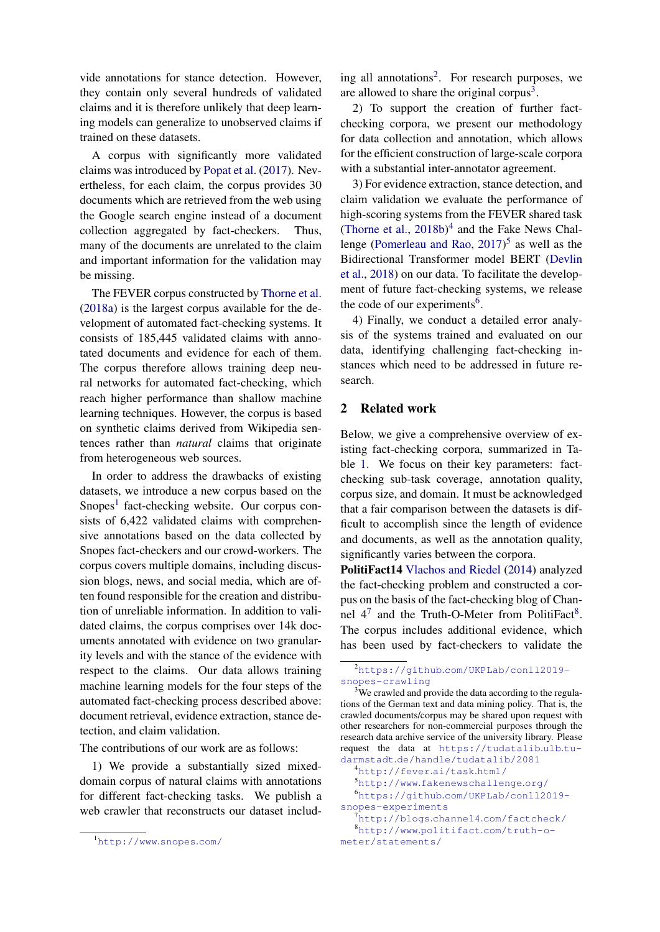vide annotations for stance detection. However, they contain only several hundreds of validated claims and it is therefore unlikely that deep learning models can generalize to unobserved claims if trained on these datasets.

A corpus with significantly more validated claims was introduced by [Popat et al.](#page-9-1) [\(2017\)](#page-9-1). Nevertheless, for each claim, the corpus provides 30 documents which are retrieved from the web using the Google search engine instead of a document collection aggregated by fact-checkers. Thus, many of the documents are unrelated to the claim and important information for the validation may be missing.

The FEVER corpus constructed by [Thorne et al.](#page-10-0) [\(2018a\)](#page-10-0) is the largest corpus available for the development of automated fact-checking systems. It consists of 185,445 validated claims with annotated documents and evidence for each of them. The corpus therefore allows training deep neural networks for automated fact-checking, which reach higher performance than shallow machine learning techniques. However, the corpus is based on synthetic claims derived from Wikipedia sentences rather than *natural* claims that originate from heterogeneous web sources.

In order to address the drawbacks of existing datasets, we introduce a new corpus based on the Snopes<sup>[1](#page-1-0)</sup> fact-checking website. Our corpus consists of 6,422 validated claims with comprehensive annotations based on the data collected by Snopes fact-checkers and our crowd-workers. The corpus covers multiple domains, including discussion blogs, news, and social media, which are often found responsible for the creation and distribution of unreliable information. In addition to validated claims, the corpus comprises over 14k documents annotated with evidence on two granularity levels and with the stance of the evidence with respect to the claims. Our data allows training machine learning models for the four steps of the automated fact-checking process described above: document retrieval, evidence extraction, stance detection, and claim validation.

The contributions of our work are as follows:

1) We provide a substantially sized mixeddomain corpus of natural claims with annotations for different fact-checking tasks. We publish a web crawler that reconstructs our dataset including all annotations<sup>[2](#page-1-1)</sup>. For research purposes, we are allowed to share the original corpus $3$ .

2) To support the creation of further factchecking corpora, we present our methodology for data collection and annotation, which allows for the efficient construction of large-scale corpora with a substantial inter-annotator agreement.

3) For evidence extraction, stance detection, and claim validation we evaluate the performance of high-scoring systems from the FEVER shared task [\(Thorne et al.,](#page-10-2)  $2018b$ <sup>[4](#page-1-3)</sup> and the Fake News Challenge [\(Pomerleau and Rao,](#page-9-5) [2017\)](#page-9-5) [5](#page-1-4) as well as the Bidirectional Transformer model BERT [\(Devlin](#page-9-6) [et al.,](#page-9-6) [2018\)](#page-9-6) on our data. To facilitate the development of future fact-checking systems, we release the code of our experiments<sup>[6](#page-1-5)</sup>.

4) Finally, we conduct a detailed error analysis of the systems trained and evaluated on our data, identifying challenging fact-checking instances which need to be addressed in future research.

## 2 Related work

Below, we give a comprehensive overview of existing fact-checking corpora, summarized in Table [1.](#page-2-0) We focus on their key parameters: factchecking sub-task coverage, annotation quality, corpus size, and domain. It must be acknowledged that a fair comparison between the datasets is difficult to accomplish since the length of evidence and documents, as well as the annotation quality, significantly varies between the corpora.

PolitiFact14 [Vlachos and Riedel](#page-10-1) [\(2014\)](#page-10-1) analyzed the fact-checking problem and constructed a corpus on the basis of the fact-checking blog of Channel  $4^7$  $4^7$  and the Truth-O-Meter from PolitiFact<sup>[8](#page-1-7)</sup>. The corpus includes additional evidence, which has been used by fact-checkers to validate the

<span id="page-1-0"></span><sup>1</sup>[http://www](http://www.snopes.com/).snopes.com/

<span id="page-1-1"></span><sup>2</sup>https://github.[com/UKPLab/conll2019](https://github.com/UKPLab/conll2019-snopes-crawling) [snopes-crawling](https://github.com/UKPLab/conll2019-snopes-crawling)

<span id="page-1-2"></span><sup>&</sup>lt;sup>3</sup>We crawled and provide the data according to the regulations of the German text and data mining policy. That is, the crawled documents/corpus may be shared upon request with other researchers for non-commercial purposes through the research data archive service of the university library. Please request the data at [https://tudatalib](https://tudatalib.ulb.tu-darmstadt.de/handle/tudatalib/2081).ulb.tu-

<span id="page-1-5"></span><span id="page-1-4"></span><span id="page-1-3"></span>darmstadt.[de/handle/tudatalib/2081](https://tudatalib.ulb.tu-darmstadt.de/handle/tudatalib/2081) <sup>4</sup>[http://fever](http://fever.ai/task.html/).ai/task.html/ <sup>5</sup>http://www.[fakenewschallenge](http://www.fakenewschallenge.org/).org/ <sup>6</sup>https://github.[com/UKPLab/conll2019](https://github.com/UKPLab/conll2019-snopes-experiments) [snopes-experiments](https://github.com/UKPLab/conll2019-snopes-experiments) <sup>7</sup>http://blogs.channel4.[com/factcheck/](http://blogs.channel4.com/factcheck/)

<span id="page-1-7"></span><span id="page-1-6"></span><sup>8</sup>http://www.politifact.[com/truth-o](http://www.politifact.com/truth-o-meter/statements/)[meter/statements/](http://www.politifact.com/truth-o-meter/statements/)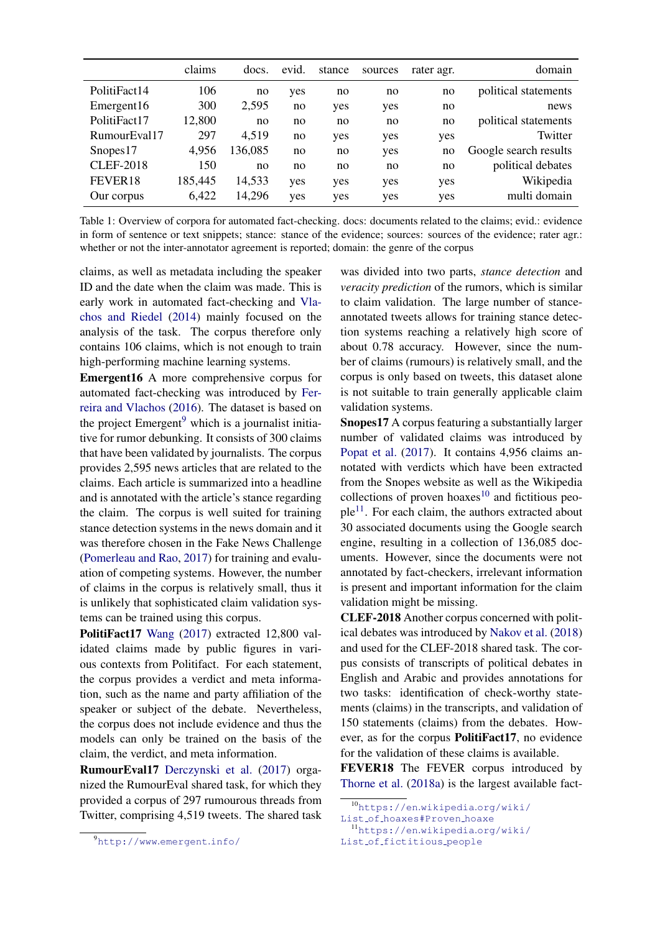<span id="page-2-0"></span>

|                        | claims  | docs.  | evid. | stance | sources | rater agr. | domain                |
|------------------------|---------|--------|-------|--------|---------|------------|-----------------------|
| PolitiFact14           | 106     | no     | yes   | no     | no      | no         | political statements  |
| Emergent <sub>16</sub> | 300     | 2,595  | no    | yes    | yes     | no         | news                  |
| PolitiFact17           | 12,800  | no     | no    | no     | no      | no         | political statements  |
| RumourEval17           | 297     | 4,519  | no    | yes    | yes     | yes        | Twitter               |
| Snopes <sub>17</sub>   | 4,956   | 36,085 | no    | no     | yes     | no         | Google search results |
| <b>CLEF-2018</b>       | 150     | no     | no    | no     | no      | no         | political debates     |
| FEVER18                | 185,445 | 14,533 | yes   | yes    | yes     | yes        | Wikipedia             |
| Our corpus             | 6,422   | 14,296 | yes   | yes    | yes     | yes        | multi domain          |

Table 1: Overview of corpora for automated fact-checking. docs: documents related to the claims; evid.: evidence in form of sentence or text snippets; stance: stance of the evidence; sources: sources of the evidence; rater agr.: whether or not the inter-annotator agreement is reported; domain: the genre of the corpus

claims, as well as metadata including the speaker ID and the date when the claim was made. This is early work in automated fact-checking and [Vla](#page-10-1)[chos and Riedel](#page-10-1) [\(2014\)](#page-10-1) mainly focused on the analysis of the task. The corpus therefore only contains 106 claims, which is not enough to train high-performing machine learning systems.

Emergent16 A more comprehensive corpus for automated fact-checking was introduced by [Fer](#page-9-3)[reira and Vlachos](#page-9-3) [\(2016\)](#page-9-3). The dataset is based on the project  $Emergent<sup>9</sup>$  $Emergent<sup>9</sup>$  $Emergent<sup>9</sup>$  which is a journalist initiative for rumor debunking. It consists of 300 claims that have been validated by journalists. The corpus provides 2,595 news articles that are related to the claims. Each article is summarized into a headline and is annotated with the article's stance regarding the claim. The corpus is well suited for training stance detection systems in the news domain and it was therefore chosen in the Fake News Challenge [\(Pomerleau and Rao,](#page-9-5) [2017\)](#page-9-5) for training and evaluation of competing systems. However, the number of claims in the corpus is relatively small, thus it is unlikely that sophisticated claim validation systems can be trained using this corpus.

PolitiFact17 [Wang](#page-10-3) [\(2017\)](#page-10-3) extracted 12,800 validated claims made by public figures in various contexts from Politifact. For each statement, the corpus provides a verdict and meta information, such as the name and party affiliation of the speaker or subject of the debate. Nevertheless, the corpus does not include evidence and thus the models can only be trained on the basis of the claim, the verdict, and meta information.

RumourEval17 [Derczynski et al.](#page-9-4) [\(2017\)](#page-9-4) organized the RumourEval shared task, for which they provided a corpus of 297 rumourous threads from Twitter, comprising 4,519 tweets. The shared task

was divided into two parts, *stance detection* and *veracity prediction* of the rumors, which is similar to claim validation. The large number of stanceannotated tweets allows for training stance detection systems reaching a relatively high score of about 0.78 accuracy. However, since the number of claims (rumours) is relatively small, and the corpus is only based on tweets, this dataset alone is not suitable to train generally applicable claim validation systems.

Snopes17 A corpus featuring a substantially larger number of validated claims was introduced by [Popat et al.](#page-9-1) [\(2017\)](#page-9-1). It contains 4,956 claims annotated with verdicts which have been extracted from the Snopes website as well as the Wikipedia collections of proven hoaxes $10$  and fictitious peo- $ple<sup>11</sup>$  $ple<sup>11</sup>$  $ple<sup>11</sup>$ . For each claim, the authors extracted about 30 associated documents using the Google search engine, resulting in a collection of 136,085 documents. However, since the documents were not annotated by fact-checkers, irrelevant information is present and important information for the claim validation might be missing.

CLEF-2018 Another corpus concerned with political debates was introduced by [Nakov et al.](#page-9-7) [\(2018\)](#page-9-7) and used for the CLEF-2018 shared task. The corpus consists of transcripts of political debates in English and Arabic and provides annotations for two tasks: identification of check-worthy statements (claims) in the transcripts, and validation of 150 statements (claims) from the debates. However, as for the corpus PolitiFact17, no evidence for the validation of these claims is available.

FEVER18 The FEVER corpus introduced by [Thorne et al.](#page-10-0) [\(2018a\)](#page-10-0) is the largest available fact-

<span id="page-2-1"></span><sup>9</sup>[http://www](http://www.emergent.info/).emergent.info/

<span id="page-2-2"></span><sup>10</sup>[https://en](https://en.wikipedia.org/wiki/List_of_hoaxes#Proven_hoaxe).wikipedia.org/wiki/

<span id="page-2-3"></span>List of [hoaxes#Proven](https://en.wikipedia.org/wiki/List_of_hoaxes#Proven_hoaxe) hoaxe <sup>11</sup>[https://en](https://en.wikipedia.org/wiki/List_of_fictitious_people).wikipedia.org/wiki/

List of [fictitious](https://en.wikipedia.org/wiki/List_of_fictitious_people) people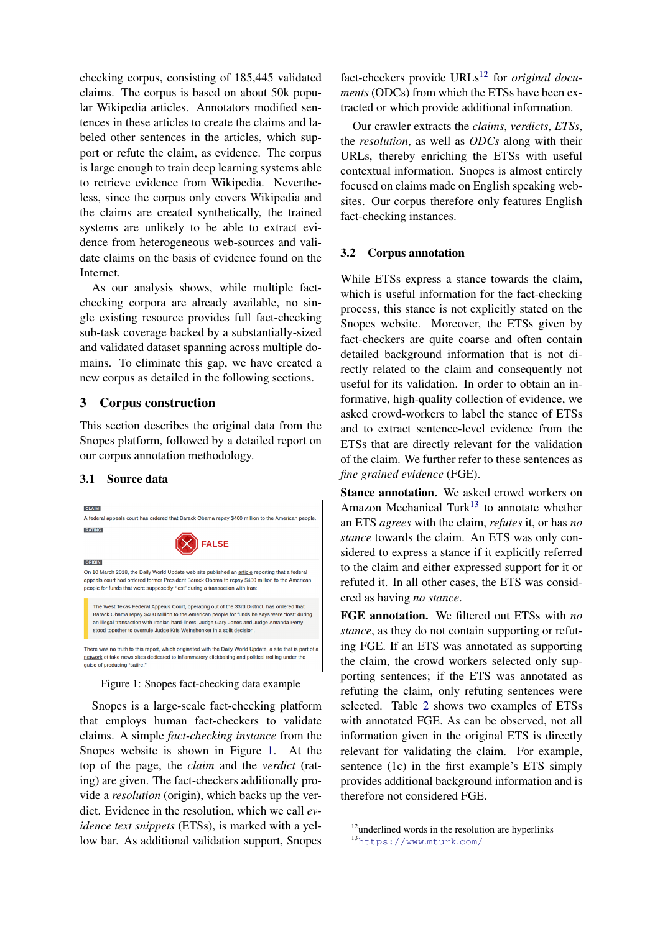checking corpus, consisting of 185,445 validated claims. The corpus is based on about 50k popular Wikipedia articles. Annotators modified sentences in these articles to create the claims and labeled other sentences in the articles, which support or refute the claim, as evidence. The corpus is large enough to train deep learning systems able to retrieve evidence from Wikipedia. Nevertheless, since the corpus only covers Wikipedia and the claims are created synthetically, the trained systems are unlikely to be able to extract evidence from heterogeneous web-sources and validate claims on the basis of evidence found on the Internet.

As our analysis shows, while multiple factchecking corpora are already available, no single existing resource provides full fact-checking sub-task coverage backed by a substantially-sized and validated dataset spanning across multiple domains. To eliminate this gap, we have created a new corpus as detailed in the following sections.

## 3 Corpus construction

This section describes the original data from the Snopes platform, followed by a detailed report on our corpus annotation methodology.

## 3.1 Source data

<span id="page-3-0"></span>

Figure 1: Snopes fact-checking data example

Snopes is a large-scale fact-checking platform that employs human fact-checkers to validate claims. A simple *fact-checking instance* from the Snopes website is shown in Figure [1.](#page-3-0) At the top of the page, the *claim* and the *verdict* (rating) are given. The fact-checkers additionally provide a *resolution* (origin), which backs up the verdict. Evidence in the resolution, which we call *evidence text snippets* (ETSs), is marked with a yellow bar. As additional validation support, Snopes

fact-checkers provide URLs<sup>[12](#page-3-1)</sup> for *original documents* (ODCs) from which the ETSs have been extracted or which provide additional information.

Our crawler extracts the *claims*, *verdicts*, *ETSs*, the *resolution*, as well as *ODCs* along with their URLs, thereby enriching the ETSs with useful contextual information. Snopes is almost entirely focused on claims made on English speaking websites. Our corpus therefore only features English fact-checking instances.

## 3.2 Corpus annotation

While ETSs express a stance towards the claim, which is useful information for the fact-checking process, this stance is not explicitly stated on the Snopes website. Moreover, the ETSs given by fact-checkers are quite coarse and often contain detailed background information that is not directly related to the claim and consequently not useful for its validation. In order to obtain an informative, high-quality collection of evidence, we asked crowd-workers to label the stance of ETSs and to extract sentence-level evidence from the ETSs that are directly relevant for the validation of the claim. We further refer to these sentences as *fine grained evidence* (FGE).

Stance annotation. We asked crowd workers on Amazon Mechanical Turk<sup>[13](#page-3-2)</sup> to annotate whether an ETS *agrees* with the claim, *refutes* it, or has *no stance* towards the claim. An ETS was only considered to express a stance if it explicitly referred to the claim and either expressed support for it or refuted it. In all other cases, the ETS was considered as having *no stance*.

FGE annotation. We filtered out ETSs with *no stance*, as they do not contain supporting or refuting FGE. If an ETS was annotated as supporting the claim, the crowd workers selected only supporting sentences; if the ETS was annotated as refuting the claim, only refuting sentences were selected. Table [2](#page-4-0) shows two examples of ETSs with annotated FGE. As can be observed, not all information given in the original ETS is directly relevant for validating the claim. For example, sentence (1c) in the first example's ETS simply provides additional background information and is therefore not considered FGE.

<span id="page-3-2"></span><span id="page-3-1"></span> $12$ underlined words in the resolution are hyperlinks <sup>13</sup>[https://www](https://www.mturk.com/).mturk.com/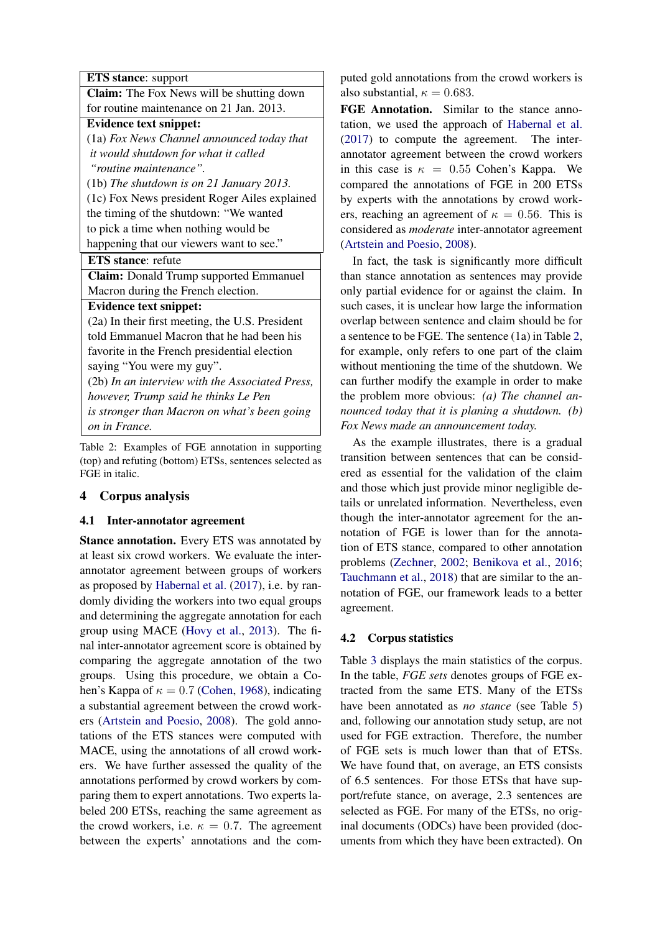<span id="page-4-0"></span>ETS stance: support

Claim: The Fox News will be shutting down for routine maintenance on 21 Jan. 2013.

Evidence text snippet:

(1a) *Fox News Channel announced today that it would shutdown for what it called "routine maintenance".*

(1b) *The shutdown is on 21 January 2013.* (1c) Fox News president Roger Ailes explained

the timing of the shutdown: "We wanted to pick a time when nothing would be

happening that our viewers want to see."

# ETS stance: refute

Claim: Donald Trump supported Emmanuel Macron during the French election.

## Evidence text snippet:

(2a) In their first meeting, the U.S. President told Emmanuel Macron that he had been his favorite in the French presidential election saying "You were my guy". (2b) *In an interview with the Associated Press, however, Trump said he thinks Le Pen is stronger than Macron on what's been going on in France.*

Table 2: Examples of FGE annotation in supporting (top) and refuting (bottom) ETSs, sentences selected as FGE in italic.

## 4 Corpus analysis

## <span id="page-4-1"></span>4.1 Inter-annotator agreement

Stance annotation. Every ETS was annotated by at least six crowd workers. We evaluate the interannotator agreement between groups of workers as proposed by [Habernal et al.](#page-9-8) [\(2017\)](#page-9-8), i.e. by randomly dividing the workers into two equal groups and determining the aggregate annotation for each group using MACE [\(Hovy et al.,](#page-9-9) [2013\)](#page-9-9). The final inter-annotator agreement score is obtained by comparing the aggregate annotation of the two groups. Using this procedure, we obtain a Cohen's Kappa of  $\kappa = 0.7$  [\(Cohen,](#page-9-10) [1968\)](#page-9-10), indicating a substantial agreement between the crowd workers [\(Artstein and Poesio,](#page-9-11) [2008\)](#page-9-11). The gold annotations of the ETS stances were computed with MACE, using the annotations of all crowd workers. We have further assessed the quality of the annotations performed by crowd workers by comparing them to expert annotations. Two experts labeled 200 ETSs, reaching the same agreement as the crowd workers, i.e.  $\kappa = 0.7$ . The agreement between the experts' annotations and the computed gold annotations from the crowd workers is also substantial,  $\kappa = 0.683$ .

FGE Annotation. Similar to the stance annotation, we used the approach of [Habernal et al.](#page-9-8) [\(2017\)](#page-9-8) to compute the agreement. The interannotator agreement between the crowd workers in this case is  $\kappa = 0.55$  Cohen's Kappa. We compared the annotations of FGE in 200 ETSs by experts with the annotations by crowd workers, reaching an agreement of  $\kappa = 0.56$ . This is considered as *moderate* inter-annotator agreement [\(Artstein and Poesio,](#page-9-11) [2008\)](#page-9-11).

In fact, the task is significantly more difficult than stance annotation as sentences may provide only partial evidence for or against the claim. In such cases, it is unclear how large the information overlap between sentence and claim should be for a sentence to be FGE. The sentence (1a) in Table [2,](#page-4-0) for example, only refers to one part of the claim without mentioning the time of the shutdown. We can further modify the example in order to make the problem more obvious: *(a) The channel announced today that it is planing a shutdown. (b) Fox News made an announcement today.*

As the example illustrates, there is a gradual transition between sentences that can be considered as essential for the validation of the claim and those which just provide minor negligible details or unrelated information. Nevertheless, even though the inter-annotator agreement for the annotation of FGE is lower than for the annotation of ETS stance, compared to other annotation problems [\(Zechner,](#page-10-4) [2002;](#page-10-4) [Benikova et al.,](#page-9-12) [2016;](#page-9-12) [Tauchmann et al.,](#page-9-13) [2018\)](#page-9-13) that are similar to the annotation of FGE, our framework leads to a better agreement.

## <span id="page-4-2"></span>4.2 Corpus statistics

Table [3](#page-5-0) displays the main statistics of the corpus. In the table, *FGE sets* denotes groups of FGE extracted from the same ETS. Many of the ETSs have been annotated as *no stance* (see Table [5\)](#page-5-1) and, following our annotation study setup, are not used for FGE extraction. Therefore, the number of FGE sets is much lower than that of ETSs. We have found that, on average, an ETS consists of 6.5 sentences. For those ETSs that have support/refute stance, on average, 2.3 sentences are selected as FGE. For many of the ETSs, no original documents (ODCs) have been provided (documents from which they have been extracted). On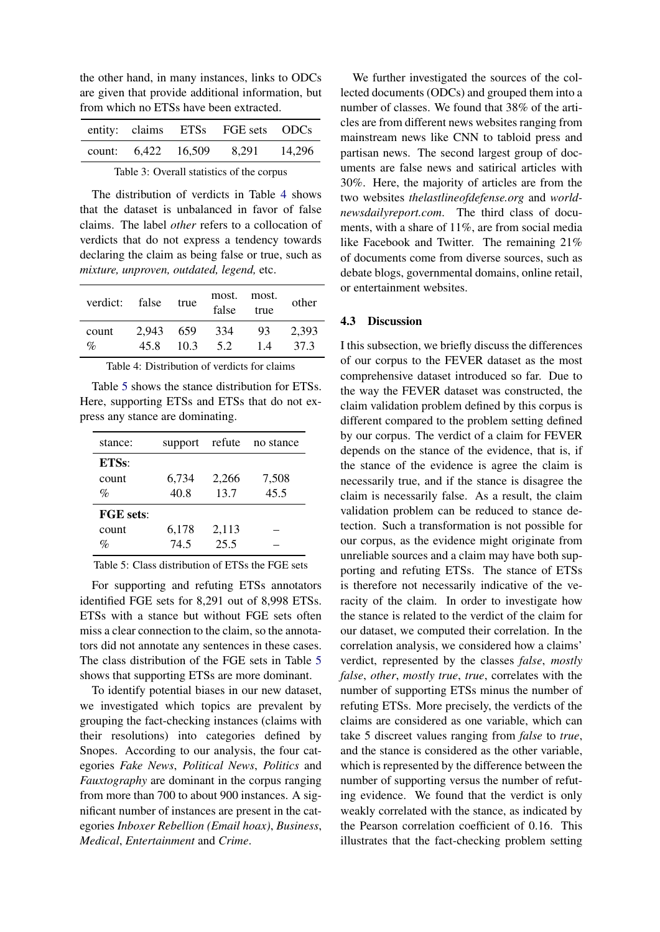the other hand, in many instances, links to ODCs are given that provide additional information, but from which no ETSs have been extracted.

<span id="page-5-0"></span>

|  | entity: claims ETSs FGE sets ODCs |  |
|--|-----------------------------------|--|
|  | count: 6.422 16.509 8.291 14.296  |  |

Table 3: Overall statistics of the corpus

The distribution of verdicts in Table [4](#page-5-2) shows that the dataset is unbalanced in favor of false claims. The label *other* refers to a collocation of verdicts that do not express a tendency towards declaring the claim as being false or true, such as *mixture, unproven, outdated, legend,* etc.

<span id="page-5-2"></span>

| verdict: false true |           |      | false | most. most.<br>true | other |
|---------------------|-----------|------|-------|---------------------|-------|
| count               | 2.943 659 | 10.3 | 334   | 93                  | 2.393 |
| $\%$                | 45.8      |      | 5.2   | 14                  | 37.3  |

Table 4: Distribution of verdicts for claims

Table [5](#page-5-1) shows the stance distribution for ETSs. Here, supporting ETSs and ETSs that do not express any stance are dominating.

<span id="page-5-1"></span>

| stance:          | support | refute | no stance |
|------------------|---------|--------|-----------|
| ETSs:            |         |        |           |
| count            | 6,734   | 2,266  | 7,508     |
| $\%$             | 40.8    | 13.7   | 45.5      |
| <b>FGE</b> sets: |         |        |           |
| count            | 6,178   | 2,113  |           |
| $\%$             | 74.5    | 25.5   |           |

Table 5: Class distribution of ETSs the FGE sets

For supporting and refuting ETSs annotators identified FGE sets for 8,291 out of 8,998 ETSs. ETSs with a stance but without FGE sets often miss a clear connection to the claim, so the annotators did not annotate any sentences in these cases. The class distribution of the FGE sets in Table [5](#page-5-1) shows that supporting ETSs are more dominant.

To identify potential biases in our new dataset, we investigated which topics are prevalent by grouping the fact-checking instances (claims with their resolutions) into categories defined by Snopes. According to our analysis, the four categories *Fake News*, *Political News*, *Politics* and *Fauxtography* are dominant in the corpus ranging from more than 700 to about 900 instances. A significant number of instances are present in the categories *Inboxer Rebellion (Email hoax)*, *Business*, *Medical*, *Entertainment* and *Crime*.

We further investigated the sources of the collected documents (ODCs) and grouped them into a number of classes. We found that 38% of the articles are from different news websites ranging from mainstream news like CNN to tabloid press and partisan news. The second largest group of documents are false news and satirical articles with 30%. Here, the majority of articles are from the two websites *thelastlineofdefense.org* and *worldnewsdailyreport.com*. The third class of documents, with a share of 11%, are from social media like Facebook and Twitter. The remaining 21% of documents come from diverse sources, such as debate blogs, governmental domains, online retail, or entertainment websites.

#### 4.3 Discussion

I this subsection, we briefly discuss the differences of our corpus to the FEVER dataset as the most comprehensive dataset introduced so far. Due to the way the FEVER dataset was constructed, the claim validation problem defined by this corpus is different compared to the problem setting defined by our corpus. The verdict of a claim for FEVER depends on the stance of the evidence, that is, if the stance of the evidence is agree the claim is necessarily true, and if the stance is disagree the claim is necessarily false. As a result, the claim validation problem can be reduced to stance detection. Such a transformation is not possible for our corpus, as the evidence might originate from unreliable sources and a claim may have both supporting and refuting ETSs. The stance of ETSs is therefore not necessarily indicative of the veracity of the claim. In order to investigate how the stance is related to the verdict of the claim for our dataset, we computed their correlation. In the correlation analysis, we considered how a claims' verdict, represented by the classes *false*, *mostly false*, *other*, *mostly true*, *true*, correlates with the number of supporting ETSs minus the number of refuting ETSs. More precisely, the verdicts of the claims are considered as one variable, which can take 5 discreet values ranging from *false* to *true*, and the stance is considered as the other variable, which is represented by the difference between the number of supporting versus the number of refuting evidence. We found that the verdict is only weakly correlated with the stance, as indicated by the Pearson correlation coefficient of 0.16. This illustrates that the fact-checking problem setting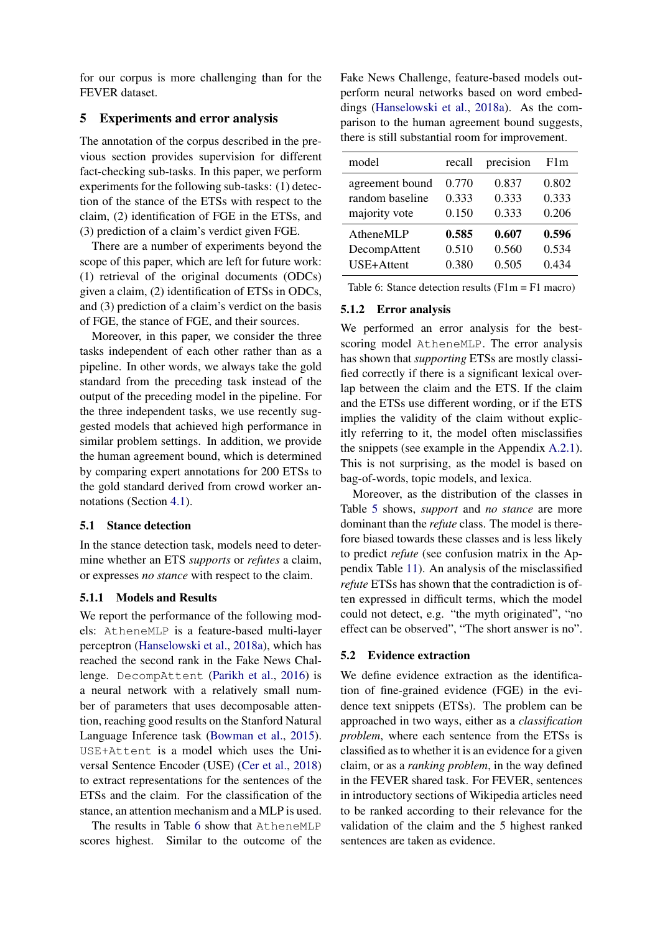for our corpus is more challenging than for the FEVER dataset.

## 5 Experiments and error analysis

The annotation of the corpus described in the previous section provides supervision for different fact-checking sub-tasks. In this paper, we perform experiments for the following sub-tasks: (1) detection of the stance of the ETSs with respect to the claim, (2) identification of FGE in the ETSs, and (3) prediction of a claim's verdict given FGE.

There are a number of experiments beyond the scope of this paper, which are left for future work: (1) retrieval of the original documents (ODCs) given a claim, (2) identification of ETSs in ODCs, and (3) prediction of a claim's verdict on the basis of FGE, the stance of FGE, and their sources.

Moreover, in this paper, we consider the three tasks independent of each other rather than as a pipeline. In other words, we always take the gold standard from the preceding task instead of the output of the preceding model in the pipeline. For the three independent tasks, we use recently suggested models that achieved high performance in similar problem settings. In addition, we provide the human agreement bound, which is determined by comparing expert annotations for 200 ETSs to the gold standard derived from crowd worker annotations (Section [4.1\)](#page-4-1).

### 5.1 Stance detection

In the stance detection task, models need to determine whether an ETS *supports* or *refutes* a claim, or expresses *no stance* with respect to the claim.

### 5.1.1 Models and Results

We report the performance of the following models: AtheneMLP is a feature-based multi-layer perceptron [\(Hanselowski et al.,](#page-9-14) [2018a\)](#page-9-14), which has reached the second rank in the Fake News Challenge. DecompAttent [\(Parikh et al.,](#page-9-15) [2016\)](#page-9-15) is a neural network with a relatively small number of parameters that uses decomposable attention, reaching good results on the Stanford Natural Language Inference task [\(Bowman et al.,](#page-9-16) [2015\)](#page-9-16). USE+Attent is a model which uses the Universal Sentence Encoder (USE) [\(Cer et al.,](#page-9-17) [2018\)](#page-9-17) to extract representations for the sentences of the ETSs and the claim. For the classification of the stance, an attention mechanism and a MLP is used.

The results in Table [6](#page-6-0) show that AtheneMLP scores highest. Similar to the outcome of the

Fake News Challenge, feature-based models outperform neural networks based on word embeddings [\(Hanselowski et al.,](#page-9-14) [2018a\)](#page-9-14). As the comparison to the human agreement bound suggests, there is still substantial room for improvement.

<span id="page-6-0"></span>

| model           | recall | precision | F1m   |
|-----------------|--------|-----------|-------|
| agreement bound | 0.770  | 0.837     | 0.802 |
| random baseline | 0.333  | 0.333     | 0.333 |
| majority vote   | 0.150  | 0.333     | 0.206 |
| AtheneMLP       | 0.585  | 0.607     | 0.596 |
| DecompAttent    | 0.510  | 0.560     | 0.534 |
| USE+Attent      | 0.380  | 0.505     | 0.434 |

Table 6: Stance detection results (F1m = F1 macro)

#### 5.1.2 Error analysis

We performed an error analysis for the bestscoring model AtheneMLP. The error analysis has shown that *supporting* ETSs are mostly classified correctly if there is a significant lexical overlap between the claim and the ETS. If the claim and the ETSs use different wording, or if the ETS implies the validity of the claim without explicitly referring to it, the model often misclassifies the snippets (see example in the Appendix [A.2.1\)](#page-11-0). This is not surprising, as the model is based on bag-of-words, topic models, and lexica.

Moreover, as the distribution of the classes in Table [5](#page-5-1) shows, *support* and *no stance* are more dominant than the *refute* class. The model is therefore biased towards these classes and is less likely to predict *refute* (see confusion matrix in the Appendix Table [11\)](#page-11-1). An analysis of the misclassified *refute* ETSs has shown that the contradiction is often expressed in difficult terms, which the model could not detect, e.g. "the myth originated", "no effect can be observed", "The short answer is no".

### 5.2 Evidence extraction

We define evidence extraction as the identification of fine-grained evidence (FGE) in the evidence text snippets (ETSs). The problem can be approached in two ways, either as a *classification problem*, where each sentence from the ETSs is classified as to whether it is an evidence for a given claim, or as a *ranking problem*, in the way defined in the FEVER shared task. For FEVER, sentences in introductory sections of Wikipedia articles need to be ranked according to their relevance for the validation of the claim and the 5 highest ranked sentences are taken as evidence.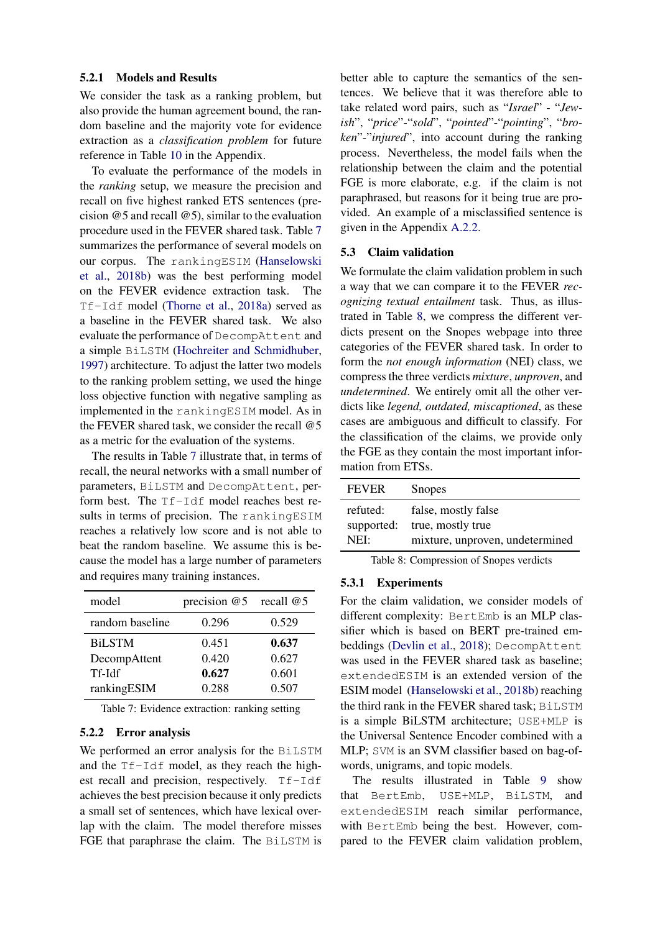#### 5.2.1 Models and Results

We consider the task as a ranking problem, but also provide the human agreement bound, the random baseline and the majority vote for evidence extraction as a *classification problem* for future reference in Table [10](#page-11-2) in the Appendix.

To evaluate the performance of the models in the *ranking* setup, we measure the precision and recall on five highest ranked ETS sentences (precision @5 and recall @5), similar to the evaluation procedure used in the FEVER shared task. Table [7](#page-7-0) summarizes the performance of several models on our corpus. The rankingESIM [\(Hanselowski](#page-9-18) [et al.,](#page-9-18) [2018b\)](#page-9-18) was the best performing model on the FEVER evidence extraction task. The Tf-Idf model [\(Thorne et al.,](#page-10-0) [2018a\)](#page-10-0) served as a baseline in the FEVER shared task. We also evaluate the performance of DecompAttent and a simple BiLSTM [\(Hochreiter and Schmidhuber,](#page-9-19) [1997\)](#page-9-19) architecture. To adjust the latter two models to the ranking problem setting, we used the hinge loss objective function with negative sampling as implemented in the rankingESIM model. As in the FEVER shared task, we consider the recall @5 as a metric for the evaluation of the systems.

The results in Table [7](#page-7-0) illustrate that, in terms of recall, the neural networks with a small number of parameters, BiLSTM and DecompAttent, perform best. The Tf-Idf model reaches best results in terms of precision. The rankingESIM reaches a relatively low score and is not able to beat the random baseline. We assume this is because the model has a large number of parameters and requires many training instances.

<span id="page-7-0"></span>

| model           | precision $@5$ | recall $@5$ |
|-----------------|----------------|-------------|
| random baseline | 0.296          | 0.529       |
| <b>BiLSTM</b>   | 0.451          | 0.637       |
| DecompAttent    | 0.420          | 0.627       |
| Tf-Idf          | 0.627          | 0.601       |
| rankingESIM     | 0.288          | 0.507       |

Table 7: Evidence extraction: ranking setting

### 5.2.2 Error analysis

We performed an error analysis for the BiLSTM and the Tf-Idf model, as they reach the highest recall and precision, respectively. Tf-Idf achieves the best precision because it only predicts a small set of sentences, which have lexical overlap with the claim. The model therefore misses FGE that paraphrase the claim. The BiLSTM is better able to capture the semantics of the sentences. We believe that it was therefore able to take related word pairs, such as "*Israel*" - "*Jewish*", "*price*"-"*sold*", "*pointed*"-"*pointing*", "*broken*"-"*injured*", into account during the ranking process. Nevertheless, the model fails when the relationship between the claim and the potential FGE is more elaborate, e.g. if the claim is not paraphrased, but reasons for it being true are provided. An example of a misclassified sentence is given in the Appendix [A.2.2.](#page-11-3)

#### 5.3 Claim validation

We formulate the claim validation problem in such a way that we can compare it to the FEVER *recognizing textual entailment* task. Thus, as illustrated in Table [8,](#page-7-1) we compress the different verdicts present on the Snopes webpage into three categories of the FEVER shared task. In order to form the *not enough information* (NEI) class, we compress the three verdicts *mixture*, *unproven*, and *undetermined*. We entirely omit all the other verdicts like *legend, outdated, miscaptioned*, as these cases are ambiguous and difficult to classify. For the classification of the claims, we provide only the FGE as they contain the most important information from ETSs.

<span id="page-7-1"></span>

| <b>FEVER</b> | <b>Snopes</b>                   |
|--------------|---------------------------------|
| refuted:     | false, mostly false             |
| supported:   | true, mostly true               |
| NEI:         | mixture, unproven, undetermined |

Table 8: Compression of Snopes verdicts

#### 5.3.1 Experiments

For the claim validation, we consider models of different complexity: BertEmb is an MLP classifier which is based on BERT pre-trained embeddings [\(Devlin et al.,](#page-9-6) [2018\)](#page-9-6); DecompAttent was used in the FEVER shared task as baseline; extendedESIM is an extended version of the ESIM model [\(Hanselowski et al.,](#page-9-18) [2018b\)](#page-9-18) reaching the third rank in the FEVER shared task; BiLSTM is a simple BiLSTM architecture; USE+MLP is the Universal Sentence Encoder combined with a MLP; SVM is an SVM classifier based on bag-ofwords, unigrams, and topic models.

The results illustrated in Table [9](#page-8-0) show that BertEmb, USE+MLP, BiLSTM, and extendedESIM reach similar performance, with BertEmb being the best. However, compared to the FEVER claim validation problem,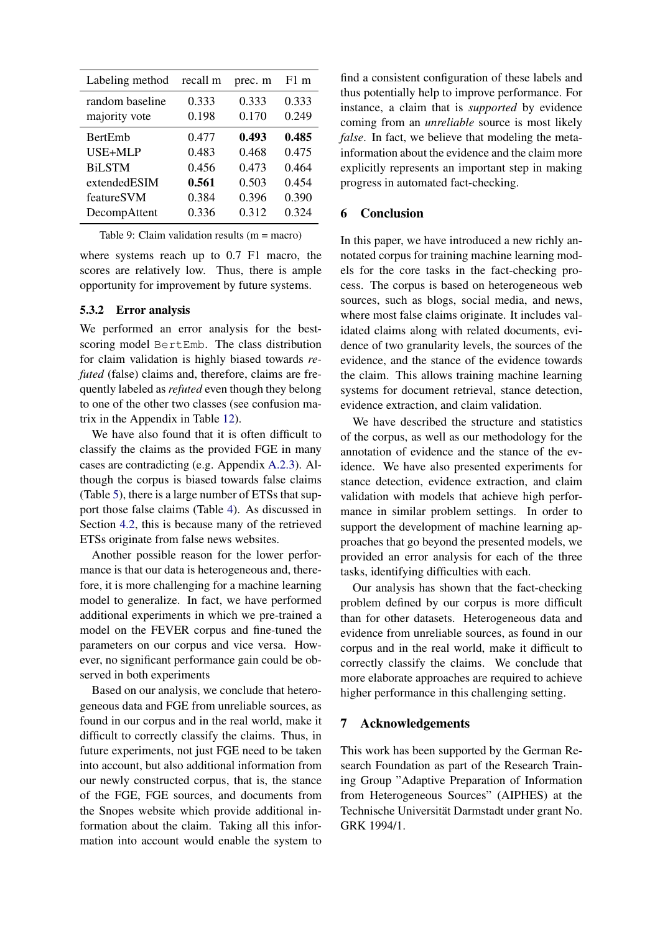<span id="page-8-0"></span>

| 0.333<br>0.333<br>0.170                   | 0.333<br>0.249                                                       |
|-------------------------------------------|----------------------------------------------------------------------|
| 0.493<br>0.468<br>0.473<br>0.503<br>0.396 | 0.485<br>0.475<br>0.464<br>0.454<br>0.390<br>0.324                   |
|                                           | 0.198<br>0.477<br>0.483<br>0.456<br>0.561<br>0.384<br>0.312<br>0.336 |

Table 9: Claim validation results (m = macro)

where systems reach up to 0.7 F1 macro, the scores are relatively low. Thus, there is ample opportunity for improvement by future systems.

## 5.3.2 Error analysis

We performed an error analysis for the bestscoring model BertEmb. The class distribution for claim validation is highly biased towards *refuted* (false) claims and, therefore, claims are frequently labeled as *refuted* even though they belong to one of the other two classes (see confusion matrix in the Appendix in Table [12\)](#page-11-4).

We have also found that it is often difficult to classify the claims as the provided FGE in many cases are contradicting (e.g. Appendix [A.2.3\)](#page-11-5). Although the corpus is biased towards false claims (Table [5\)](#page-5-1), there is a large number of ETSs that support those false claims (Table [4\)](#page-5-2). As discussed in Section [4.2,](#page-4-2) this is because many of the retrieved ETSs originate from false news websites.

Another possible reason for the lower performance is that our data is heterogeneous and, therefore, it is more challenging for a machine learning model to generalize. In fact, we have performed additional experiments in which we pre-trained a model on the FEVER corpus and fine-tuned the parameters on our corpus and vice versa. However, no significant performance gain could be observed in both experiments

Based on our analysis, we conclude that heterogeneous data and FGE from unreliable sources, as found in our corpus and in the real world, make it difficult to correctly classify the claims. Thus, in future experiments, not just FGE need to be taken into account, but also additional information from our newly constructed corpus, that is, the stance of the FGE, FGE sources, and documents from the Snopes website which provide additional information about the claim. Taking all this information into account would enable the system to

find a consistent configuration of these labels and thus potentially help to improve performance. For instance, a claim that is *supported* by evidence coming from an *unreliable* source is most likely *false*. In fact, we believe that modeling the metainformation about the evidence and the claim more explicitly represents an important step in making progress in automated fact-checking.

## 6 Conclusion

In this paper, we have introduced a new richly annotated corpus for training machine learning models for the core tasks in the fact-checking process. The corpus is based on heterogeneous web sources, such as blogs, social media, and news, where most false claims originate. It includes validated claims along with related documents, evidence of two granularity levels, the sources of the evidence, and the stance of the evidence towards the claim. This allows training machine learning systems for document retrieval, stance detection, evidence extraction, and claim validation.

We have described the structure and statistics of the corpus, as well as our methodology for the annotation of evidence and the stance of the evidence. We have also presented experiments for stance detection, evidence extraction, and claim validation with models that achieve high performance in similar problem settings. In order to support the development of machine learning approaches that go beyond the presented models, we provided an error analysis for each of the three tasks, identifying difficulties with each.

Our analysis has shown that the fact-checking problem defined by our corpus is more difficult than for other datasets. Heterogeneous data and evidence from unreliable sources, as found in our corpus and in the real world, make it difficult to correctly classify the claims. We conclude that more elaborate approaches are required to achieve higher performance in this challenging setting.

## 7 Acknowledgements

This work has been supported by the German Research Foundation as part of the Research Training Group "Adaptive Preparation of Information from Heterogeneous Sources" (AIPHES) at the Technische Universität Darmstadt under grant No. GRK 1994/1.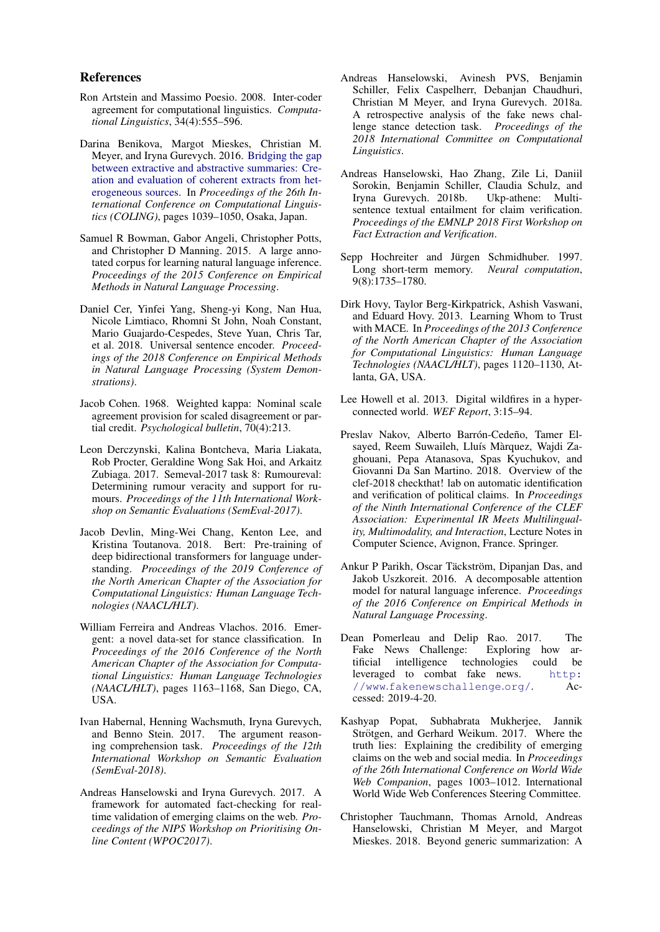#### References

- <span id="page-9-11"></span>Ron Artstein and Massimo Poesio. 2008. Inter-coder agreement for computational linguistics. *Computational Linguistics*, 34(4):555–596.
- <span id="page-9-12"></span>Darina Benikova, Margot Mieskes, Christian M. Meyer, and Iryna Gurevych. 2016. [Bridging the gap](http://aclweb.org/anthology/C16-1099) [between extractive and abstractive summaries: Cre](http://aclweb.org/anthology/C16-1099)[ation and evaluation of coherent extracts from het](http://aclweb.org/anthology/C16-1099)[erogeneous sources.](http://aclweb.org/anthology/C16-1099) In *Proceedings of the 26th International Conference on Computational Linguistics (COLING)*, pages 1039–1050, Osaka, Japan.
- <span id="page-9-16"></span>Samuel R Bowman, Gabor Angeli, Christopher Potts, and Christopher D Manning. 2015. A large annotated corpus for learning natural language inference. *Proceedings of the 2015 Conference on Empirical Methods in Natural Language Processing*.
- <span id="page-9-17"></span>Daniel Cer, Yinfei Yang, Sheng-yi Kong, Nan Hua, Nicole Limtiaco, Rhomni St John, Noah Constant, Mario Guajardo-Cespedes, Steve Yuan, Chris Tar, et al. 2018. Universal sentence encoder. *Proceedings of the 2018 Conference on Empirical Methods in Natural Language Processing (System Demonstrations)*.
- <span id="page-9-10"></span>Jacob Cohen. 1968. Weighted kappa: Nominal scale agreement provision for scaled disagreement or partial credit. *Psychological bulletin*, 70(4):213.
- <span id="page-9-4"></span>Leon Derczynski, Kalina Bontcheva, Maria Liakata, Rob Procter, Geraldine Wong Sak Hoi, and Arkaitz Zubiaga. 2017. Semeval-2017 task 8: Rumoureval: Determining rumour veracity and support for rumours. *Proceedings of the 11th International Workshop on Semantic Evaluations (SemEval-2017)*.
- <span id="page-9-6"></span>Jacob Devlin, Ming-Wei Chang, Kenton Lee, and Kristina Toutanova. 2018. Bert: Pre-training of deep bidirectional transformers for language understanding. *Proceedings of the 2019 Conference of the North American Chapter of the Association for Computational Linguistics: Human Language Technologies (NAACL/HLT)*.
- <span id="page-9-3"></span>William Ferreira and Andreas Vlachos. 2016. Emergent: a novel data-set for stance classification. In *Proceedings of the 2016 Conference of the North American Chapter of the Association for Computational Linguistics: Human Language Technologies (NAACL/HLT)*, pages 1163–1168, San Diego, CA, USA.
- <span id="page-9-8"></span>Ivan Habernal, Henning Wachsmuth, Iryna Gurevych, and Benno Stein. 2017. The argument reasoning comprehension task. *Proceedings of the 12th International Workshop on Semantic Evaluation (SemEval-2018)*.
- <span id="page-9-2"></span>Andreas Hanselowski and Iryna Gurevych. 2017. A framework for automated fact-checking for realtime validation of emerging claims on the web. *Proceedings of the NIPS Workshop on Prioritising Online Content (WPOC2017)*.
- <span id="page-9-14"></span>Andreas Hanselowski, Avinesh PVS, Benjamin Schiller, Felix Caspelherr, Debanjan Chaudhuri, Christian M Meyer, and Iryna Gurevych. 2018a. A retrospective analysis of the fake news challenge stance detection task. *Proceedings of the 2018 International Committee on Computational Linguistics*.
- <span id="page-9-18"></span>Andreas Hanselowski, Hao Zhang, Zile Li, Daniil Sorokin, Benjamin Schiller, Claudia Schulz, and Iryna Gurevych. 2018b. Ukp-athene: Multisentence textual entailment for claim verification. *Proceedings of the EMNLP 2018 First Workshop on Fact Extraction and Verification*.
- <span id="page-9-19"></span>Sepp Hochreiter and Jürgen Schmidhuber. 1997. Long short-term memory. *Neural computation*, 9(8):1735–1780.
- <span id="page-9-9"></span>Dirk Hovy, Taylor Berg-Kirkpatrick, Ashish Vaswani, and Eduard Hovy. 2013. Learning Whom to Trust with MACE. In *Proceedings of the 2013 Conference of the North American Chapter of the Association for Computational Linguistics: Human Language Technologies (NAACL/HLT)*, pages 1120–1130, Atlanta, GA, USA.
- <span id="page-9-0"></span>Lee Howell et al. 2013. Digital wildfires in a hyperconnected world. *WEF Report*, 3:15–94.
- <span id="page-9-7"></span>Preslav Nakov, Alberto Barrón-Cedeño, Tamer Elsayed, Reem Suwaileh, Lluís Màrquez, Wajdi Zaghouani, Pepa Atanasova, Spas Kyuchukov, and Giovanni Da San Martino. 2018. Overview of the clef-2018 checkthat! lab on automatic identification and verification of political claims. In *Proceedings of the Ninth International Conference of the CLEF Association: Experimental IR Meets Multilinguality, Multimodality, and Interaction*, Lecture Notes in Computer Science, Avignon, France. Springer.
- <span id="page-9-15"></span>Ankur P Parikh, Oscar Täckström, Dipanjan Das, and Jakob Uszkoreit. 2016. A decomposable attention model for natural language inference. *Proceedings of the 2016 Conference on Empirical Methods in Natural Language Processing*.
- <span id="page-9-5"></span>Dean Pomerleau and Delip Rao. 2017. The Fake News Challenge: Exploring how artificial intelligence technologies could be leveraged to combat fake news. [http:](http://www.fakenewschallenge.org/) //www.[fakenewschallenge](http://www.fakenewschallenge.org/).org/. Accessed: 2019-4-20.
- <span id="page-9-1"></span>Kashyap Popat, Subhabrata Mukherjee, Jannik Strötgen, and Gerhard Weikum. 2017. Where the truth lies: Explaining the credibility of emerging claims on the web and social media. In *Proceedings of the 26th International Conference on World Wide Web Companion*, pages 1003–1012. International World Wide Web Conferences Steering Committee.
- <span id="page-9-13"></span>Christopher Tauchmann, Thomas Arnold, Andreas Hanselowski, Christian M Meyer, and Margot Mieskes. 2018. Beyond generic summarization: A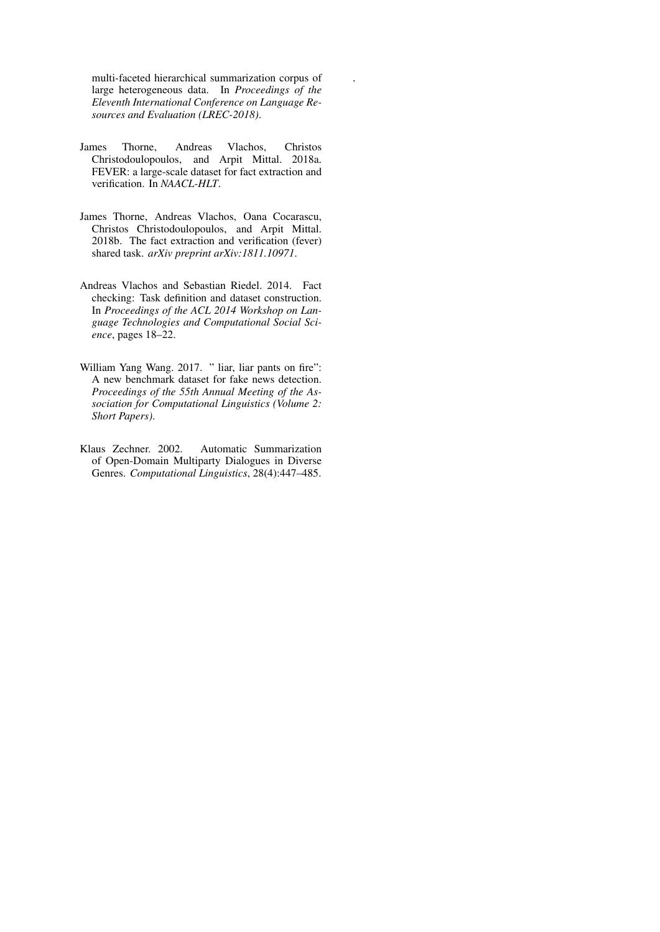multi-faceted hierarchical summarization corpus of large heterogeneous data. In *Proceedings of the Eleventh International Conference on Language Resources and Evaluation (LREC-2018)*.

.

- <span id="page-10-0"></span>James Thorne, Andreas Vlachos, Christos Christodoulopoulos, and Arpit Mittal. 2018a. FEVER: a large-scale dataset for fact extraction and verification. In *NAACL-HLT*.
- <span id="page-10-2"></span>James Thorne, Andreas Vlachos, Oana Cocarascu, Christos Christodoulopoulos, and Arpit Mittal. 2018b. The fact extraction and verification (fever) shared task. *arXiv preprint arXiv:1811.10971*.
- <span id="page-10-1"></span>Andreas Vlachos and Sebastian Riedel. 2014. Fact checking: Task definition and dataset construction. In *Proceedings of the ACL 2014 Workshop on Language Technologies and Computational Social Science*, pages 18–22.
- <span id="page-10-3"></span>William Yang Wang. 2017. " liar, liar pants on fire": A new benchmark dataset for fake news detection. *Proceedings of the 55th Annual Meeting of the Association for Computational Linguistics (Volume 2: Short Papers)*.
- <span id="page-10-4"></span>Klaus Zechner. 2002. Automatic Summarization of Open-Domain Multiparty Dialogues in Diverse Genres. *Computational Linguistics*, 28(4):447–485.